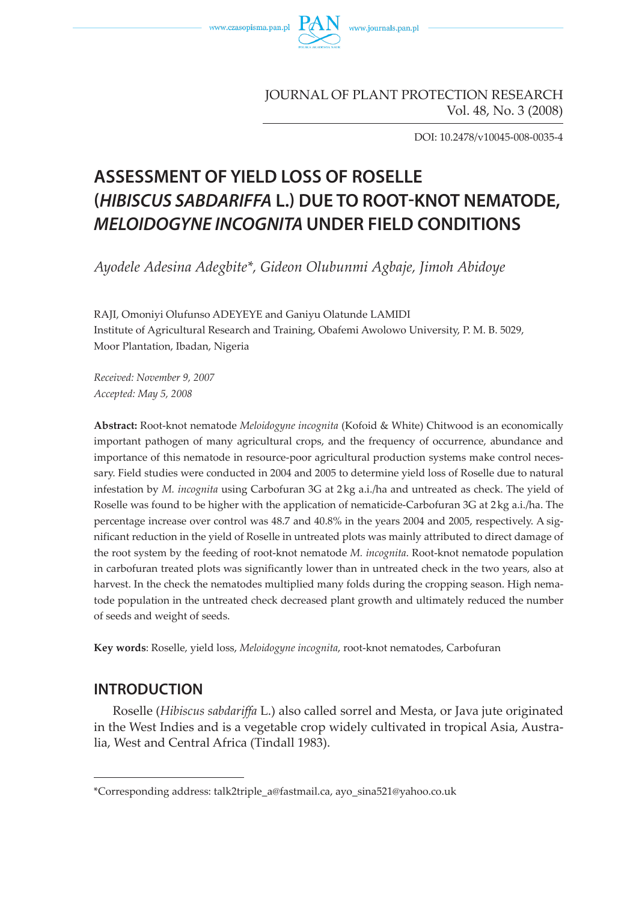



#### JOURNAL OF PLANT PROTECTION RESEARCH Vol. 48, No. 3 (2008)

DOI: 10.2478/v10045-008-0035-4

# **ASSESSMENT OF YIELD LOSS OF ROSELLE (HIBISCUS SABDARIFFA L.) DUE TO ROOT-KNOT NEMATODE, MELOIDOGYNE INCOGNITA UNDER FIELD CONDITIONS**

*Ayodele Adesina Adegbite\*, Gideon Olubunmi Agbaje, Jimoh Abidoye*

RAJI, Omoniyi Olufunso ADEYEYE and Ganiyu Olatunde LAMIDI Institute of Agricultural Research and Training, Obafemi Awolowo University, P. M. B. 5029, Moor Plantation, Ibadan, Nigeria

*Received: November 9, 2007 Accepted: May 5, 2008* 

**Abstract:** Root-knot nematode *Meloidogyne incognita* (Kofoid & White) Chitwood is an economically important pathogen of many agricultural crops, and the frequency of occurrence, abundance and importance of this nematode in resource-poor agricultural production systems make control necessary. Field studies were conducted in 2004 and 2005 to determine yield loss of Roselle due to natural infestation by *M. incognita* using Carbofuran 3G at 2 kg a.i./ha and untreated as check. The yield of Roselle was found to be higher with the application of nematicide-Carbofuran 3G at 2 kg a.i./ha. The percentage increase over control was 48.7 and 40.8% in the years 2004 and 2005, respectively. A significant reduction in the yield of Roselle in untreated plots was mainly attributed to direct damage of the root system by the feeding of root-knot nematode *M. incognita*. Root-knot nematode population in carbofuran treated plots was significantly lower than in untreated check in the two years, also at harvest. In the check the nematodes multiplied many folds during the cropping season. High nematode population in the untreated check decreased plant growth and ultimately reduced the number of seeds and weight of seeds.

**Key words**: Roselle, yield loss, *Meloidogyne incognita*, root-knot nematodes, Carbofuran

## **INTRODUCTION**

Roselle (*Hibiscus sabdariffa* L.) also called sorrel and Mesta, or Java jute originated in the West Indies and is a vegetable crop widely cultivated in tropical Asia, Australia, West and Central Africa (Tindall 1983).

<sup>\*</sup>Corresponding address: talk2triple\_a@fastmail.ca, ayo\_sina521@yahoo.co.uk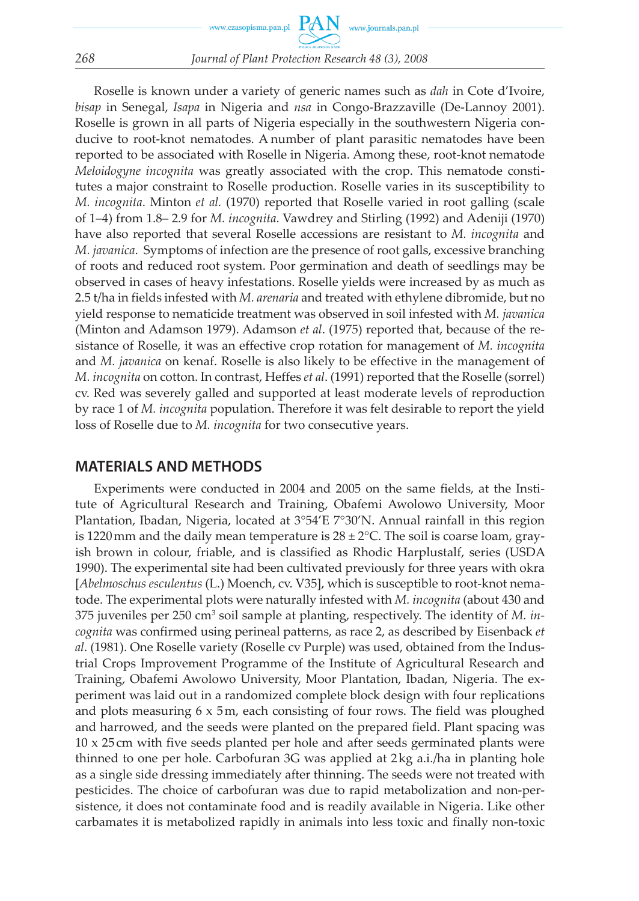Roselle is known under a variety of generic names such as *dah* in Cote d'Ivoire, *bisap* in Senegal, *Isapa* in Nigeria and *nsa* in Congo-Brazzaville (De-Lannoy 2001). Roselle is grown in all parts of Nigeria especially in the southwestern Nigeria conducive to root-knot nematodes. A number of plant parasitic nematodes have been reported to be associated with Roselle in Nigeria. Among these, root-knot nematode *Meloidogyne incognita* was greatly associated with the crop. This nematode constitutes a major constraint to Roselle production. Roselle varies in its susceptibility to *M. incognita*. Minton *et al.* (1970) reported that Roselle varied in root galling (scale of 1–4) from 1.8– 2.9 for *M. incognita*. Vawdrey and Stirling (1992) and Adeniji (1970) have also reported that several Roselle accessions are resistant to *M. incognita* and *M. javanica*. Symptoms of infection are the presence of root galls, excessive branching of roots and reduced root system. Poor germination and death of seedlings may be observed in cases of heavy infestations. Roselle yields were increased by as much as 2.5 t/ha in fields infested with *M. arenaria* and treated with ethylene dibromide, but no yield response to nematicide treatment was observed in soil infested with *M. javanica* (Minton and Adamson 1979). Adamson *et al*. (1975) reported that, because of the resistance of Roselle, it was an effective crop rotation for management of *M. incognita* and *M. javanica* on kenaf. Roselle is also likely to be effective in the management of *M. incognita* on cotton. In contrast, Heffes *et al*. (1991) reported that the Roselle (sorrel) cv. Red was severely galled and supported at least moderate levels of reproduction by race 1 of *M. incognita* population. Therefore it was felt desirable to report the yield loss of Roselle due to *M. incognita* for two consecutive years.

## **MATERIALS AND METHODS**

Experiments were conducted in 2004 and 2005 on the same fields, at the Institute of Agricultural Research and Training, Obafemi Awolowo University, Moor Plantation, Ibadan, Nigeria, located at 3°54'E 7°30'N. Annual rainfall in this region is 1220 mm and the daily mean temperature is  $28 \pm 2^{\circ}$ C. The soil is coarse loam, grayish brown in colour, friable, and is classified as Rhodic Harplustalf, series (USDA 1990). The experimental site had been cultivated previously for three years with okra [*Abelmoschus esculentus* (L.) Moench, cv. V35], which is susceptible to root-knot nematode. The experimental plots were naturally infested with *M. incognita* (about 430 and 375 juveniles per 250 cm<sup>3</sup> soil sample at planting, respectively. The identity of *M. incognita* was confirmed using perineal patterns, as race 2, as described by Eisenback *et al*. (1981). One Roselle variety (Roselle cv Purple) was used, obtained from the Industrial Crops Improvement Programme of the Institute of Agricultural Research and Training, Obafemi Awolowo University, Moor Plantation, Ibadan, Nigeria. The experiment was laid out in a randomized complete block design with four replications and plots measuring  $6 \times 5m$ , each consisting of four rows. The field was ploughed and harrowed, and the seeds were planted on the prepared field. Plant spacing was 10 x 25 cm with five seeds planted per hole and after seeds germinated plants were thinned to one per hole. Carbofuran 3G was applied at 2 kg a.i./ha in planting hole as a single side dressing immediately after thinning. The seeds were not treated with pesticides. The choice of carbofuran was due to rapid metabolization and non-persistence, it does not contaminate food and is readily available in Nigeria. Like other carbamates it is metabolized rapidly in animals into less toxic and finally non-toxic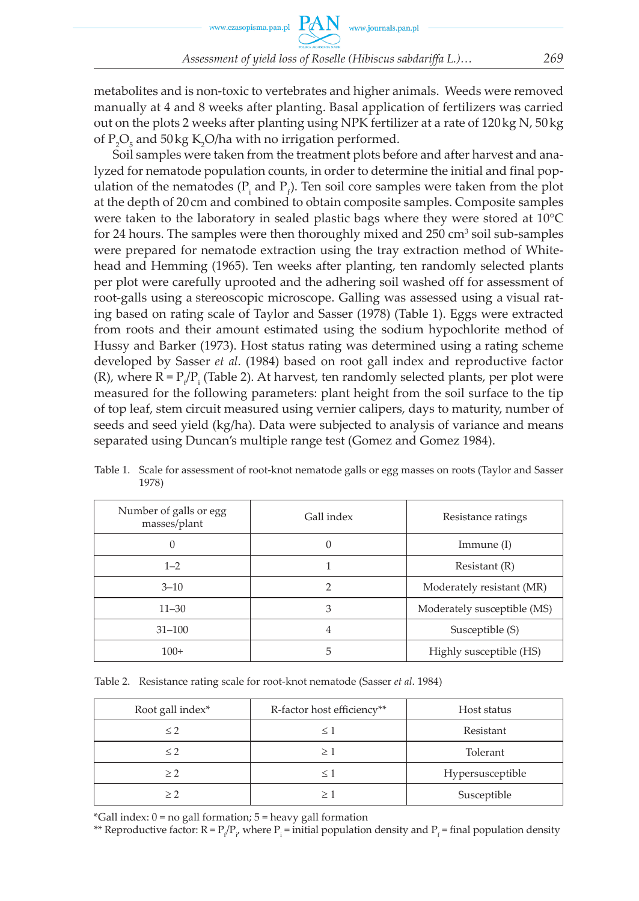metabolites and is non-toxic to vertebrates and higher animals. Weeds were removed manually at 4 and 8 weeks after planting. Basal application of fertilizers was carried out on the plots 2 weeks after planting using NPK fertilizer at a rate of 120 kg N, 50 kg of  $P_2O_5$  and 50 kg K<sub>2</sub>O/ha with no irrigation performed.

Soil samples were taken from the treatment plots before and after harvest and analyzed for nematode population counts, in order to determine the initial and final population of the nematodes ( $P_i$  and  $P_f$ ). Ten soil core samples were taken from the plot at the depth of 20 cm and combined to obtain composite samples. Composite samples were taken to the laboratory in sealed plastic bags where they were stored at 10°C for 24 hours. The samples were then thoroughly mixed and  $250 \text{ cm}^3 \text{ soil sub-samples}$ were prepared for nematode extraction using the tray extraction method of Whitehead and Hemming (1965). Ten weeks after planting, ten randomly selected plants per plot were carefully uprooted and the adhering soil washed off for assessment of root-galls using a stereoscopic microscope. Galling was assessed using a visual rating based on rating scale of Taylor and Sasser (1978) (Table 1). Eggs were extracted from roots and their amount estimated using the sodium hypochlorite method of Hussy and Barker (1973). Host status rating was determined using a rating scheme developed by Sasser *et al*. (1984) based on root gall index and reproductive factor (R), where  $R = P_{\rho}/P_{\text{i}}$  (Table 2). At harvest, ten randomly selected plants, per plot were measured for the following parameters: plant height from the soil surface to the tip of top leaf, stem circuit measured using vernier calipers, days to maturity, number of seeds and seed yield (kg/ha). Data were subjected to analysis of variance and means separated using Duncan's multiple range test (Gomez and Gomez 1984).

| Number of galls or egg<br>masses/plant | Gall index | Resistance ratings          |  |  |
|----------------------------------------|------------|-----------------------------|--|--|
|                                        | 0          | Immune $(I)$                |  |  |
| $1 - 2$                                |            | Resistant(R)                |  |  |
| $3 - 10$                               | っ          | Moderately resistant (MR)   |  |  |
| $11 - 30$                              | 3          | Moderately susceptible (MS) |  |  |
| $31 - 100$                             | 4          | Susceptible (S)             |  |  |
| $100+$                                 | 5          | Highly susceptible (HS)     |  |  |

Table 1. Scale for assessment of root-knot nematode galls or egg masses on roots (Taylor and Sasser 1978)

Table 2. Resistance rating scale for root-knot nematode (Sasser *et al*. 1984)

| Root gall index* | R-factor host efficiency** | Host status      |
|------------------|----------------------------|------------------|
| $\leq$ 2         |                            | Resistant        |
| $\leq$ 2         |                            | Tolerant         |
| > 2              |                            | Hypersusceptible |
| $>$ $\circ$      |                            | Susceptible      |

 $*Gall$  index:  $0 = no$  gall formation;  $5 = heavy$  gall formation

\*\* Reproductive factor:  $R = P_f/P_g$  where  $P_i$  = initial population density and  $P_f$  = final population density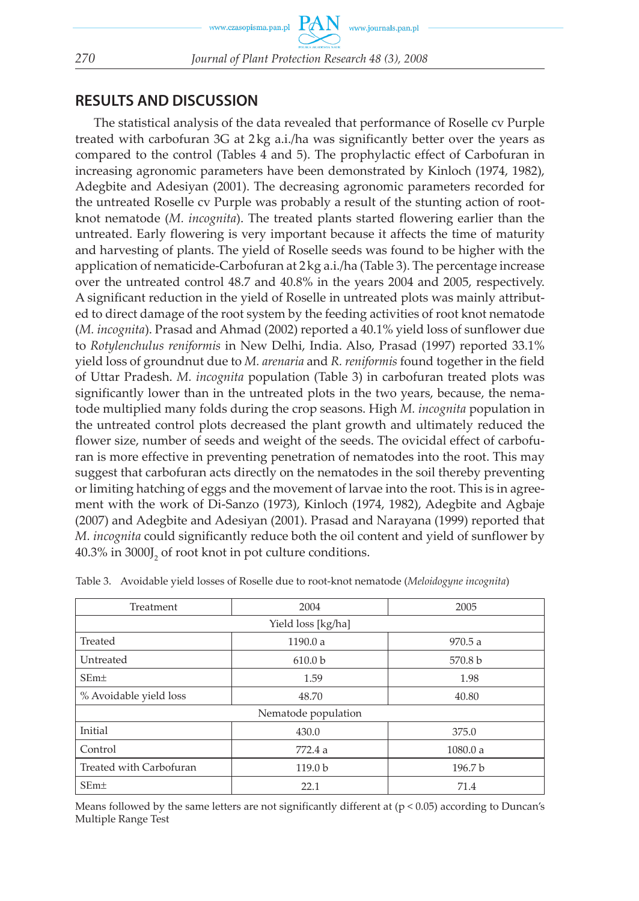# **RESULTS AND DISCUSSION**

The statistical analysis of the data revealed that performance of Roselle cv Purple treated with carbofuran  $3G$  at  $2kg$  a.i./ha was significantly better over the years as compared to the control (Tables 4 and 5). The prophylactic effect of Carbofuran in increasing agronomic parameters have been demonstrated by Kinloch (1974, 1982), Adegbite and Adesiyan (2001). The decreasing agronomic parameters recorded for the untreated Roselle cv Purple was probably a result of the stunting action of rootknot nematode (*M. incognita*). The treated plants started flowering earlier than the untreated. Early flowering is very important because it affects the time of maturity and harvesting of plants. The yield of Roselle seeds was found to be higher with the application of nematicide-Carbofuran at 2 kg a.i./ha (Table 3). The percentage increase over the untreated control 48.7 and 40.8% in the years 2004 and 2005, respectively. A significant reduction in the yield of Roselle in untreated plots was mainly attributed to direct damage of the root system by the feeding activities of root knot nematode (*M. incognita*). Prasad and Ahmad (2002) reported a 40.1% yield loss of sunflower due to *Rotylenchulus reniformis* in New Delhi, India. Also, Prasad (1997) reported 33.1% yield loss of groundnut due to *M. arenaria* and *R. reniformis* found together in the field of Uttar Pradesh. *M. incognita* population (Table 3) in carbofuran treated plots was significantly lower than in the untreated plots in the two years, because, the nematode multiplied many folds during the crop seasons. High *M. incognita* population in the untreated control plots decreased the plant growth and ultimately reduced the flower size, number of seeds and weight of the seeds. The ovicidal effect of carbofuran is more effective in preventing penetration of nematodes into the root. This may suggest that carbofuran acts directly on the nematodes in the soil thereby preventing or limiting hatching of eggs and the movement of larvae into the root. This is in agreement with the work of Di-Sanzo (1973), Kinloch (1974, 1982), Adegbite and Agbaje (2007) and Adegbite and Adesiyan (2001). Prasad and Narayana (1999) reported that *M. incognita* could significantly reduce both the oil content and yield of sunflower by  $40.3\%$  in  $3000J_{2}$  of root knot in pot culture conditions.

| Treatment               | 2004               | 2005    |  |  |  |  |  |
|-------------------------|--------------------|---------|--|--|--|--|--|
| Yield loss [kg/ha]      |                    |         |  |  |  |  |  |
| Treated                 | 1190.0 a           | 970.5a  |  |  |  |  |  |
| Untreated               | 610.0 <sub>b</sub> | 570.8 b |  |  |  |  |  |
| SEm <sub>±</sub>        | 1.59               | 1.98    |  |  |  |  |  |
| % Avoidable yield loss  | 48.70              | 40.80   |  |  |  |  |  |
| Nematode population     |                    |         |  |  |  |  |  |
| Initial                 | 430.0              | 375.0   |  |  |  |  |  |
| Control                 | 772.4 a            | 1080.0a |  |  |  |  |  |
| Treated with Carbofuran | 119.0 <sub>b</sub> | 196.7 b |  |  |  |  |  |
| SEm <sub>±</sub>        | 22.1               | 71.4    |  |  |  |  |  |

Table 3. Avoidable yield losses of Roselle due to root-knot nematode (*Meloidogyne incognita*)

Means followed by the same letters are not significantly different at  $(p < 0.05)$  according to Duncan's Multiple Range Test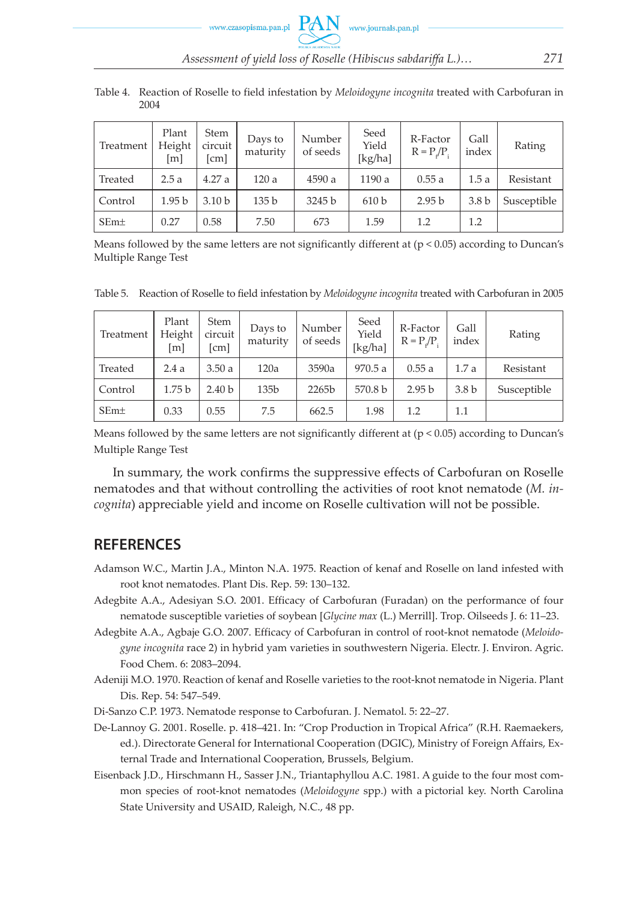Table 4. Reaction of Roselle to field infestation by *Meloidogyne incognita* treated with Carbofuran in 2004

| Treatment        | Plant<br>Height<br>[m] | Stem<br>circuit<br>[cm] | Days to<br>maturity | Number<br>of seeds | Seed<br>Yield<br>[ $kg/ha$ ] | R-Factor<br>$R = P/P$ . | Gall<br>index    | Rating      |
|------------------|------------------------|-------------------------|---------------------|--------------------|------------------------------|-------------------------|------------------|-------------|
| Treated          | 2.5a                   | 4.27a                   | 120a                | 4590 a             | 1190 a                       | 0.55a                   | 1.5a             | Resistant   |
| Control          | 1.95 <sub>b</sub>      | 3.10 <sub>b</sub>       | 135 b               | 3245 b             | 610 <sub>b</sub>             | 2.95 <sub>b</sub>       | 3.8 <sub>b</sub> | Susceptible |
| SEm <sub>±</sub> | 0.27                   | 0.58                    | 7.50                | 673                | 1.59                         | 1.2                     | 1.2              |             |

Means followed by the same letters are not significantly different at  $(p < 0.05)$  according to Duncan's Multiple Range Test

Table 5. Reaction of Roselle to field infestation by *Meloidogyne incognita* treated with Carbofuran in 2005

| Treatment        | Plant<br>Height<br>$\lceil m \rceil$ | <b>Stem</b><br>circuit<br>[cm] | Days to<br>maturity | Number<br>of seeds | Seed<br>Yield<br>[kg/ha] | R-Factor<br>$R = P/P$ . | Gall<br>index    | Rating      |
|------------------|--------------------------------------|--------------------------------|---------------------|--------------------|--------------------------|-------------------------|------------------|-------------|
| Treated          | 2.4a                                 | 3.50a                          | 120a                | 3590a              | 970.5a                   | 0.55a                   | 1.7 a            | Resistant   |
| Control          | 1.75 <sub>b</sub>                    | 2.40 <sub>b</sub>              | 135 <sub>b</sub>    | 2265b              | 570.8 b                  | 2.95 <sub>b</sub>       | 3.8 <sub>b</sub> | Susceptible |
| SEm <sub>±</sub> | 0.33                                 | 0.55                           | 7.5                 | 662.5              | 1.98                     | 1.2                     | 1.1              |             |

Means followed by the same letters are not significantly different at  $(p < 0.05)$  according to Duncan's Multiple Range Test

In summary, the work confirms the suppressive effects of Carbofuran on Roselle nematodes and that without controlling the activities of root knot nematode (*M. incognita*) appreciable yield and income on Roselle cultivation will not be possible.

## **REFERENCES**

- Adamson W.C., Martin J.A., Minton N.A. 1975. Reaction of kenaf and Roselle on land infested with root knot nematodes. Plant Dis. Rep. 59: 130–132.
- Adegbite A.A., Adesiyan S.O. 2001. Efficacy of Carbofuran (Furadan) on the performance of four nematode susceptible varieties of soybean [*Glycine max* (L.) Merrill]. Trop. Oilseeds J. 6: 11–23.
- Adegbite A.A., Agbaje G.O. 2007. Efficacy of Carbofuran in control of root-knot nematode (*Meloidogyne incognita* race 2) in hybrid yam varieties in southwestern Nigeria. Electr. J. Environ. Agric. Food Chem. 6: 2083–2094.
- Adeniji M.O. 1970. Reaction of kenaf and Roselle varieties to the root-knot nematode in Nigeria. Plant Dis. Rep. 54: 547–549.
- Di-Sanzo C.P. 1973. Nematode response to Carbofuran. J. Nematol. 5: 22–27.
- De-Lannoy G. 2001. Roselle. p. 418–421. In: "Crop Production in Tropical Africa" (R.H. Raemaekers, ed.). Directorate General for International Cooperation (DGIC), Ministry of Foreign Affairs, External Trade and International Cooperation, Brussels, Belgium.
- Eisenback J.D., Hirschmann H., Sasser J.N., Triantaphyllou A.C. 1981. A guide to the four most common species of root-knot nematodes (*Meloidogyne* spp.) with a pictorial key. North Carolina State University and USAID, Raleigh, N.C., 48 pp.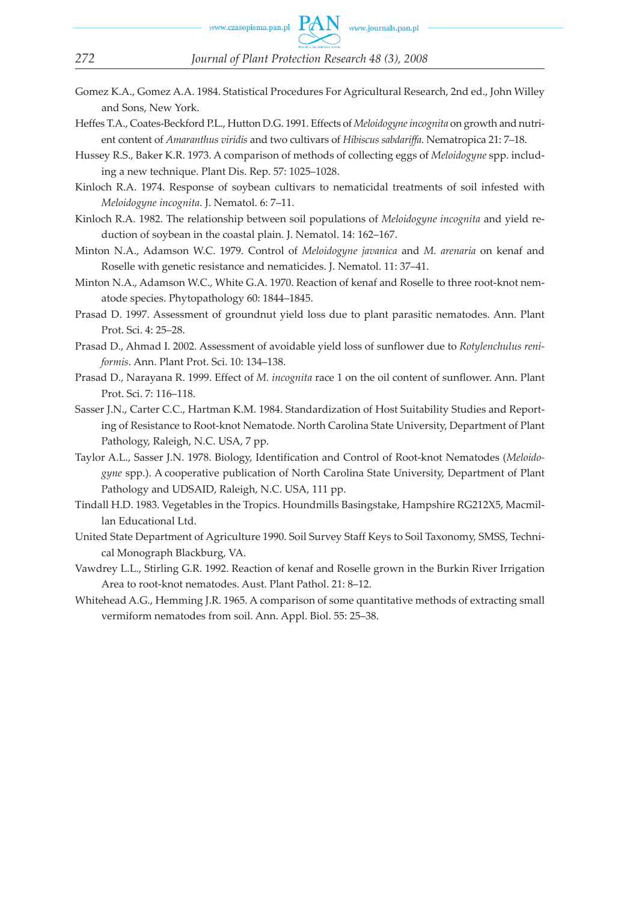- Gomez K.A., Gomez A.A. 1984. Statistical Procedures For Agricultural Research, 2nd ed., John Willey and Sons, New York.
- Heffes T.A., Coates-Beckford P.L., Hutton D.G. 1991. Effects of *Meloidogyne incognita* on growth and nutrient content of *Amaranthus viridis* and two cultivars of *Hibiscus sabdariffa*. Nematropica 21: 7–18.
- Hussey R.S., Baker K.R. 1973. A comparison of methods of collecting eggs of *Meloidogyne* spp. including a new technique. Plant Dis. Rep. 57: 1025–1028.
- Kinloch R.A. 1974. Response of soybean cultivars to nematicidal treatments of soil infested with *Meloidogyne incognita*. J. Nematol. 6: 7–11.
- Kinloch R.A. 1982. The relationship between soil populations of *Meloidogyne incognita* and yield reduction of soybean in the coastal plain. J. Nematol. 14: 162–167.
- Minton N.A., Adamson W.C. 1979. Control of *Meloidogyne javanica* and *M. arenaria* on kenaf and Roselle with genetic resistance and nematicides. J. Nematol. 11: 37–41.
- Minton N.A., Adamson W.C., White G.A. 1970. Reaction of kenaf and Roselle to three root-knot nematode species. Phytopathology 60: 1844–1845.
- Prasad D. 1997. Assessment of groundnut yield loss due to plant parasitic nematodes. Ann. Plant Prot. Sci. 4: 25–28.
- Prasad D., Ahmad I. 2002. Assessment of avoidable yield loss of sunflower due to *Rotylenchulus reniformis*. Ann. Plant Prot. Sci. 10: 134–138.
- Prasad D., Narayana R. 1999. Effect of *M. incognita* race 1 on the oil content of sunflower. Ann. Plant Prot. Sci. 7: 116–118.
- Sasser J.N., Carter C.C., Hartman K.M. 1984. Standardization of Host Suitability Studies and Reporting of Resistance to Root-knot Nematode. North Carolina State University, Department of Plant Pathology, Raleigh, N.C. USA, 7 pp.
- Taylor A.L., Sasser J.N. 1978. Biology, Identification and Control of Root-knot Nematodes (*Meloidogyne* spp.). A cooperative publication of North Carolina State University, Department of Plant Pathology and UDSAID, Raleigh, N.C. USA, 111 pp.
- Tindall H.D. 1983. Vegetables in the Tropics. Houndmills Basingstake, Hampshire RG212X5, Macmillan Educational Ltd.
- United State Department of Agriculture 1990. Soil Survey Staff Keys to Soil Taxonomy, SMSS, Technical Monograph Blackburg, VA.
- Vawdrey L.L., Stirling G.R. 1992. Reaction of kenaf and Roselle grown in the Burkin River Irrigation Area to root-knot nematodes. Aust. Plant Pathol. 21: 8–12.
- Whitehead A.G., Hemming J.R. 1965. A comparison of some quantitative methods of extracting small vermiform nematodes from soil. Ann. Appl. Biol. 55: 25–38.